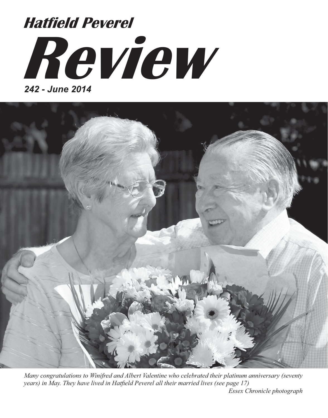# **Review** *242 - June 2014* **Hatfield Peverel**



*Many congratulations to Winifred and Albert Valentine who celebrated their platinum anniversary (seventy years) in May. They have lived in Hatfield Peverel all their married lives (see page 17) Essex Chronicle photograph*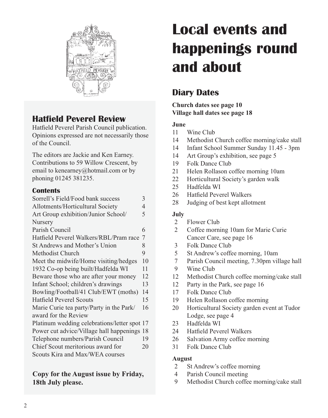

### **Hatfield Peverel Review**

Hatfield Peverel Parish Council publication. Opinions expressed are not necessarily those of the Council.

The editors are Jackie and Ken Earney. Contributions to 59 Willow Crescent, by email to kenearney@hotmail.com or by phoning 01245 381235.

### **Contents**

| Sorrell's Field/Food bank success            | 3              |
|----------------------------------------------|----------------|
| Allotments/Horticultural Society             | 4              |
| Art Group exhibition/Junior School/          | 5              |
| Nursery                                      |                |
| Parish Council                               | 6              |
| Hatfield Peverel Walkers/RBL/Pram race       | 7              |
| St Andrews and Mother's Union                | 8              |
| Methodist Church                             | 9              |
| Meet the midwife/Home visiting/hedges        | 1 <sub>0</sub> |
| 1932 Co-op being built/Hadfelda WI           | 11             |
| Beware those who are after your money        | 12             |
| Infant School; children's drawings           | 13             |
| Bowling/Football/41 Club/EWT (moths)         | 14             |
| <b>Hatfield Peverel Scouts</b>               | 15             |
| Marie Curie tea party/Party in the Park/     | 16             |
| award for the Review                         |                |
| Platinum wedding celebrations/letter spot 17 |                |
| Power cut advice/Village hall happenings     | 18             |
| Telephone numbers/Parish Council             | 19             |
| Chief Scout meritorious award for            | 20             |
| Scouts Kira and Max/WEA courses              |                |
|                                              |                |

### **Copy for the August issue by Friday, 18th July please.**

# **Local events and happenings round and about**

### **Diary Dates**

#### **Church dates see page 10 Village hall dates see page 18**

#### **June**

- 11 Wine Club
- 14 Methodist Church coffee morning/cake stall
- 14 Infant School Summer Sunday 11.45 3pm
- 14 Art Group's exhibition, see page 5
- 19 Folk Dance Club
- 21 Helen Rollason coffee morning 10am
- 22 Horticultural Society's garden walk
- 25 Hadfelda WI
- 26 Hatfield Peverel Walkers
- 28 Judging of best kept allotment

#### **July**

- 2 Flower Club
- 2 Coffee morning 10am for Marie Curie Cancer Care, see page 16
- 3 Folk Dance Club
- 5 St Andrew's coffee morning, 10am
- 7 Parish Council meeting, 7.30pm village hall
- 9 Wine Club
- 12 Methodist Church coffee morning/cake stall
- 12 Party in the Park, see page 16
- 17 Folk Dance Club
- 19 Helen Rollason coffee morning
- 20 Horticultural Society garden event at Tudor Lodge, see page 4
- 23 Hadfelda WI
- 24 Hatfield Peverel Walkers
- 26 Salvation Army coffee morning
- 31 Folk Dance Club

#### **August**

- 2 St Andrew's coffee morning
- 4 Parish Council meeting
- 9 Methodist Church coffee morning/cake stall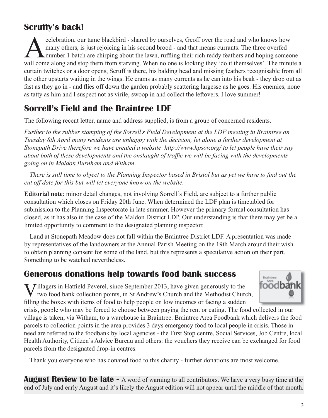### **Scruffy's back!**

relebration, our tame blackbird - shared by ourselves, Geoff over the road and who knows how<br>many others, is just rejoicing in his second brood - and that means currants. The three overfed<br>number 1 batch are chirping about many others, is just rejoicing in his second brood - and that means currants. The three overfed number 1 batch are chirping about the lawn, ruffling their rich reddy feathers and hoping someone will come along and stop them from starving. When no one is looking they 'do it themselves'. The minute a curtain twitches or a door opens, Scruff is there, his balding head and missing feathers recognisable from all the other upstarts waiting in the wings. He crams as many currents as he can into his beak - they drop out as fast as they go in - and flies off down the garden probably scattering largesse as he goes. His enemies, none as tatty as him and I suspect not as virile, swoop in and collect the leftovers. I love summer!

### **Sorrell's Field and the Braintree LDF**

The following recent letter, name and address supplied, is from a group of concerned residents.

*Further to the rubber stamping of the Sorrell's Field Development at the LDF meeting in Braintree on Tuesday 8th April many residents are unhappy with the decision, let alone a further development at Stonepath Drive therefore we have created a website http://www.hpsov.org/ to let people have their say about both of these developments and the onslaught of traffic we will be facing with the developments going on in Maldon,Burnham and Witham.*

*There is still time to object to the Planning Inspector based in Bristol but as yet we have to find out the cut off date for this but will let everyone know on the website.*

**Editorial note**: minor detail changes, not involving Sorrell's Field, are subject to a further public consultation which closes on Friday 20th June. When determined the LDF plan is timetabled for submission to the Planning Inspectorate in late summer. However the primary formal consultation has closed, as it has also in the case of the Maldon District LDP. Our understanding is that there may yet be a limited opportunity to comment to the designated planning inspector.

Land at Stonepath Meadow does not fall within the Braintree District LDF. A presentation was made by representatives of the landowners at the Annual Parish Meeting on the 19th March around their wish to obtain planning consent for some of the land, but this represents a speculative action on their part. Something to be watched nevertheless.

### **Generous donations help towards food bank success**

I Jillagers in Hatfield Peverel, since September 2013, have given generously to the two food bank collection points, in St Andrew's Church and the Methodist Church, filling the boxes with items of food to help people on low incomes or facing a sudden



crisis, people who may be forced to choose between paying the rent or eating. The food collected in our village is taken, via Witham, to a warehouse in Braintree. Braintree Area Foodbank which delivers the food parcels to collection points in the area provides 3 days emergency food to local people in crisis. Those in need are referred to the foodbank by local agencies - the First Stop centre, Social Services, Job Centre, local Health Authority, Citizen's Advice Bureau and others: the vouchers they receive can be exchanged for food parcels from the designated drop-in centres.

Thank you everyone who has donated food to this charity - further donations are most welcome.

**August Review to be late -** A word of warning to all contributors. We have a very busy time at the end of July and early August and it's likely the August edition will not appear until the middle of that month.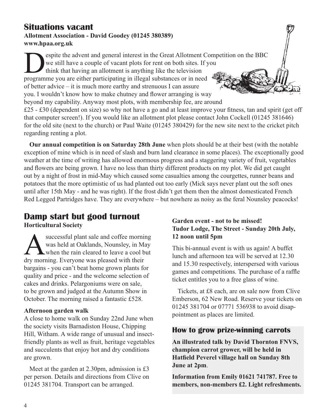### **Situations vacant Allotment Association - David Goodey (01245 380389) www.hpaa.org.uk**

espite the advent and general interest in the Great Allotment Competition on the BBC we still have a couple of vacant plots for rent on both sites. If you think that having an allotment is anything like the television programme you are either participating in illegal substances or in need of better advice – it is much more earthy and strenuous I can assure you. I wouldn't know how to make chutney and flower arranging is way beyond my capability. Anyway most plots, with membership fee, are around  $£25 - £30$  (dependent on size) so why not have a go and at least improve your fitness, tan and spirit (get off that computer screen!). If you would like an allotment plot please contact John Cockell (01245 381646)

for the old site (next to the church) or Paul Waite (01245 380429) for the new site next to the cricket pitch regarding renting a plot. **Our annual competition is on Saturday 28th June** when plots should be at their best (with the notable

exception of mine which is in need of slash and burn land clearance in some places). The exceptionally good weather at the time of writing has allowed enormous progress and a staggering variety of fruit, vegetables and flowers are being grown. I have no less than thirty different products on my plot. We did get caught out by a night of frost in mid-May which caused some casualties among the courgettes, runner beans and potatoes that the more optimistic of us had planted out too early (Mick says never plant out the soft ones until after 15th May - and he was right). If the frost didn't get them then the almost domesticated French Red Legged Partridges have. They are everywhere – but nowhere as noisy as the feral Nounsley peacocks!

## **Damp start but good turnout**

**Horticultural Society**

successful plant sale and coffee morning<br>was held at Oaklands, Nounsley, in May<br>when the rain cleared to leave a cool but<br>dry morning. Everyone was pleased with their was held at Oaklands, Nounsley, in May when the rain cleared to leave a cool but dry morning. Everyone was pleased with their bargains - you can't beat home grown plants for quality and price - and the welcome selection of cakes and drinks. Pelargoniums were on sale, to be grown and judged at the Autumn Show in October. The morning raised a fantastic £528.

#### **Afternoon garden walk**

A close to home walk on Sunday 22nd June when the society visits Barnadiston House, Chipping Hill, Witham. A wide range of unusual and insectfriendly plants as well as fruit, heritage vegetables and succulents that enjoy hot and dry conditions are grown.

Meet at the garden at 2.30pm, admission is £3 per person. Details and directions from Clive on 01245 381704. Transport can be arranged.

### **Garden event - not to be missed! Tudor Lodge, The Street - Sunday 20th July, 12 noon until 5pm**

This bi-annual event is with us again! A buffet lunch and afternoon tea will be served at 12.30 and 15.30 respectively, interspersed with various games and competitions. The purchase of a raffle ticket entitles you to a free glass of wine.

Tickets, at £8 each, are on sale now from Clive Emberson, 62 New Road. Reserve your tickets on 01245 381704 or 07771 536938 to avoid disappointment as places are limited.

### **How to grow prize-winning carrots**

**An illustrated talk by David Thornton FNVS, champion carrot grower, will be held in Hatfield Peverel village hall on Sunday 8th June at 2pm**.

**Information from Emily 01621 741787. Free to members, non-members £2. Light refreshments.**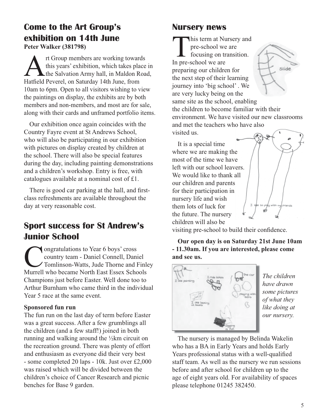### **Come to the Art Group's exhibition on 14th June**

**Peter Walker (381798)**

It Group members are working towards<br>this years' exhibition, which takes place<br>Hatfield Peverel, on Saturday 14th June, from this years' exhibition, which takes place in the Salvation Army hall, in Maldon Road, Hatfield Peverel, on Saturday 14th June, from 10am to 6pm. Open to all visitors wishing to view the paintings on display, the exhibits are by both members and non-members, and most are for sale, along with their cards and unframed portfolio items.

Our exhibition once again coincides with the Country Fayre event at St Andrews School, who will also be participating in our exhibition with pictures on display created by children at the school. There will also be special features during the day, including painting demonstrations and a children's workshop. Entry is free, with catalogues available at a nominal cost of £1.

There is good car parking at the hall, and firstclass refreshments are available throughout the day at very reasonable cost.

### **Sport success for St Andrew's Junior School**

**Congratulations to Year 6 boys' cross<br>
country team - Daniel Connell, Dani<br>
Tomlinson-Watts, Jude Thorne and I<br>
Murrell who became North East Essex Scho** country team - Daniel Connell, Daniel Tomlinson-Watts, Jude Thorne and Finley Murrell who became North East Essex Schools Champions just before Easter. Well done too to Arthur Burnham who came third in the individual Year 5 race at the same event.

#### **Sponsored fun run**

The fun run on the last day of term before Easter was a great success. After a few grumblings all the children (and a few staff!) joined in both running and walking around the ½km circuit on the recreation ground. There was plenty of effort and enthusiasm as everyone did their very best - some completed 20 laps - 10k. Just over £2,000 was raised which will be divided between the children's choice of Cancer Research and picnic benches for Base 9 garden.

### **Nursery news**

This term at Nursery and pre-school we are focusing on transition. In pre-school we are preparing our children for the next step of their learning journey into 'big school' . We are very lucky being on the



same site as the school, enabling the children to become familiar with their environment. We have visited our new classrooms and met the teachers who have also visited us.

It is a special time where we are making the most of the time we have left with our school leavers. We would like to thank all our children and parents for their participation in nursery life and wish them lots of luck for the future. The nursery children will also be



visiting pre-school to build their confidence.

**Our open day is on Saturday 21st June 10am - 11.30am. If you are interested, please come and see us.**



*The children have drawn some pictures of what they like doing at our nursery.*

The nursery is managed by Belinda Wakelin who has a BA in Early Years and holds Early Years professional status with a well-qualified staff team. As well as the nursery we run sessions before and after school for children up to the age of eight years old. For availability of spaces please telephone 01245 382450.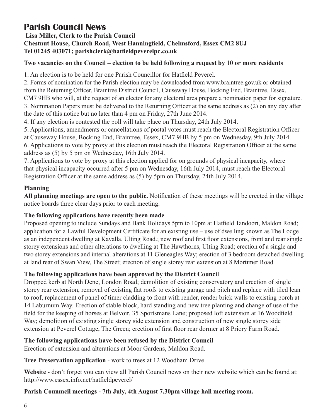### **Parish Council News**

#### **Lisa Miller, Clerk to the Parish Council Chestnut House, Church Road, West Hanningfield, Chelmsford, Essex CM2 8UJ Tel 01245 403071; parishclerk@hatfieldpeverelpc.co.uk**

#### **Two vacancies on the Council – election to be held following a request by 10 or more residents**

1. An election is to be held for one Parish Councillor for Hatfield Peverel.

2. Forms of nomination for the Parish election may be downloaded from www.braintree.gov.uk or obtained from the Returning Officer, Braintree District Council, Causeway House, Bocking End, Braintree, Essex, CM7 9HB who will, at the request of an elector for any electoral area prepare a nomination paper for signature. 3. Nomination Papers must be delivered to the Returning Officer at the same address as (2) on any day after the date of this notice but no later than 4 pm on Friday, 27th June 2014.

4. If any election is contested the poll will take place on Thursday, 24th July 2014.

5. Applications, amendments or cancellations of postal votes must reach the Electoral Registration Officer

at Causeway House, Bocking End, Braintree, Essex, CM7 9HB by 5 pm on Wednesday, 9th July 2014. 6. Applications to vote by proxy at this election must reach the Electoral Registration Officer at the same

address as (5) by 5 pm on Wednesday, 16th July 2014.

7. Applications to vote by proxy at this election applied for on grounds of physical incapacity, where that physical incapacity occurred after 5 pm on Wednesday, 16th July 2014, must reach the Electoral Registration Officer at the same address as (5) by 5pm on Thursday, 24th July 2014.

#### **Planning**

**All planning meetings are open to the public.** Notification of these meetings will be erected in the village notice boards three clear days prior to each meeting.

#### **The following applications have recently been made**

Proposed opening to include Sundays and Bank Holidays 5pm to 10pm at Hatfield Tandoori, Maldon Road; application for a Lawful Development Certificate for an existing use – use of dwelling known as The Lodge as an independent dwelling at Kavalla, Ulting Road.; new roof and first floor extensions, front and rear single storey extensions and other alterations to dwelling at The Hawthorns, Ulting Road; erection of a single and two storey extensions and internal alterations at 11 Gleneagles Way; erection of 3 bedroom detached dwelling at land rear of Swan View, The Street; erection of single storey rear extension at 8 Mortimer Road

#### **The following applications have been approved by the District Council**

Dropped kerb at North Dene, London Road; demolition of existing conservatory and erection of single storey rear extension, removal of existing flat roofs to existing garage and pitch and replace with tiled lean to roof, replacement of panel of timer cladding to front with render, render brick walls to existing porch at 14 Laburnum Way. Erection of stable block, hard standing and new tree planting and change of use of the field for the keeping of horses at Belvoir, 35 Sportsmans Lane; proposed loft extension at 16 Woodfield Way; demolition of existing single storey side extension and construction of new single storey side extension at Peverel Cottage, The Green; erection of first floor rear dormer at 8 Priory Farm Road.

#### **The following applications have been refused by the District Council**

Erection of extension and alterations at Moor Gardens, Maldon Road.

#### **Tree Preservation application** - work to trees at 12 Woodham Drive

**Website** - don't forget you can view all Parish Council news on their new website which can be found at: http://www.essex.info.net/hatfieldpeverel/

#### **Parish Counmcil meetings - 7th July, 4th August 7.30pm village hall meeting room.**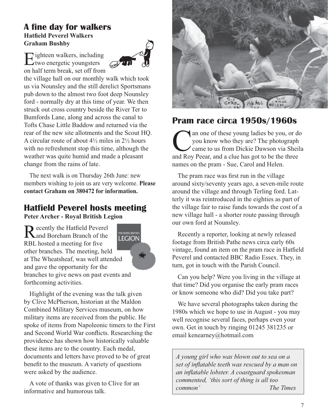### **A fine day for walkers Hatfield Peverel Walkers Graham Bushby**

Eighteen walkers, including<br>two energetic youngsters on half term break, set off from



the village hall on our monthly walk which took us via Nounsley and the still derelict Sportsmans pub down to the almost two foot deep Nounsley ford - normally dry at this time of year. We then struck out cross country beside the River Ter to Bumfords Lane, along and across the canal to Tofts Chase Little Baddow and returned via the rear of the new site allotments and the Scout HQ. A circular route of about 4½ miles in 2½ hours with no refreshment stop this time, although the weather was quite humid and made a pleasant change from the rains of late.

The next walk is on Thursday 26th June: new members wishing to join us are very welcome. **Please contact Graham on 380472 for information.**

### **Hatfield Peverel hosts meeting Peter Archer - Royal British Legion**

Recently the Hatfield Peverel<br>
Rand Boreham Branch of the RBL hosted a meeting for five other branches. The meeting, held at The Wheatsheaf, was well attended and gave the opportunity for the branches to give news on past events and forthcoming activities.



Highlight of the evening was the talk given by Clive McPherson, historian at the Maldon Combined Military Services museum, on how military items are received from the public. He spoke of items from Napoleonic timers to the First and Second World War conflicts. Researching the providence has shown how historically valuable these items are to the country. Each medal, documents and letters have proved to be of great benefit to the museum. A variety of questions were asked by the audience.

A vote of thanks was given to Clive for an informative and humorous talk.



### **Pram race circa 1950s/1960s**

The photograph<br>
The photograph<br>
Can to us from Dickie Dawson via Sheila<br>
The photograph<br>
Can to us from Dickie Dawson via Sheila<br>
The photograph<br>
Can to us from Dickie Dawson via Sheila<br>
The photograph<br>
Can to be the three you know who they are? The photograph came to us from Dickie Dawson via Sheila and Roy Peear, and a clue has got to be the three names on the pram - Sue, Carol and Helen.

The pram race was first run in the village around sixty/seventy years ago, a seven-mile route around the village and through Terling ford. Latterly it was reintroduced in the eighties as part of the village fair to raise funds towards the cost of a new village hall - a shorter route passing through our own ford at Nounsley.

Recently a reporter, looking at newly released footage from British Pathe news circa early 60s vintage, found an item on the pram race in Hatfield Peverel and contacted BBC Radio Essex. They, in turn, got in touch with the Parish Council.

Can you help? Were you living in the village at that time? Did you organise the early pram races or know someone who did? Did you take part?

We have several photographs taken during the 1980s which we hope to use in August - you may well recognise several faces, perhaps even your own. Get in touch by ringing 01245 381235 or email kenearney@hotmail.com

*A young girl who was blown out to sea on a set of inflatable teeth was rescued by a man on an inflatable lobster. A coastguard spokesman commented, 'this sort of thing is all too common' The Times*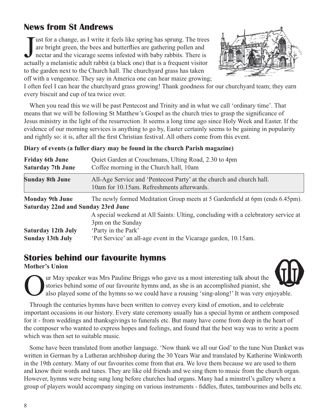### **News from St Andrews**

Just for a change, as I write it feels like spring has sprung. The trees are bright green, the bees and butterflies are gathering pollen and nectar and the vicarage seems infested with baby rabbits. There is actually a mel ust for a change, as I write it feels like spring has sprung. The trees are bright green, the bees and butterflies are gathering pollen and nectar and the vicarage seems infested with baby rabbits. There is to the garden next to the Church hall. The churchyard grass has taken off with a vengeance. They say in America one can hear maize growing;



I often feel I can hear the churchyard grass growing! Thank goodness for our churchyard team; they earn every biscuit and cup of tea twice over.

When you read this we will be past Pentecost and Trinity and in what we call 'ordinary time'. That means that we will be following St Matthew's Gospel as the church tries to grasp the significance of Jesus ministry in the light of the resurrection. It seems a long time ago since Holy Week and Easter. If the evidence of our morning services is anything to go by, Easter certainly seems to be gaining in popularity and rightly so: it is, after all the first Christian festival. All others come from this event.

| <b>Friday 6th June</b><br><b>Saturday 7th June</b>           | Quiet Garden at Crouchmans, Ulting Road, 2.30 to 4pm<br>Coffee morning in the Church hall, 10am                               |
|--------------------------------------------------------------|-------------------------------------------------------------------------------------------------------------------------------|
| <b>Sunday 8th June</b>                                       | All-Age Service and 'Pentecost Party' at the church and church hall.<br>10am for 10.15am. Refreshments afterwards.            |
| <b>Monday 9th June</b><br>Saturday 22nd and Sunday 23rd June | The newly formed Meditation Group meets at 5 Gardenfield at 6pm (ends 6.45pm).                                                |
| Saturday 12th July                                           | A special weekend at All Saints: Ulting, concluding with a celebratory service at<br>3pm on the Sunday<br>'Party in the Park' |
| <b>Sunday 13th July</b>                                      | 'Pet Service' an all-age event in the Vicarage garden, 10.15am.                                                               |

#### **Diary of events (a fuller diary may be found in the church Parish magazine)**

### **Stories behind our favourite hymns**

**Mother's Union**

ur May speaker was Mrs Pauline Briggs who gave us a most interesting talk about the stories behind some of our favourite hymns and, as she is an accomplished pianist, she also played some of the hymns so we could have a rousing 'sing-along!' It was very enjoyable.

Through the centuries hymns have been written to convey every kind of emotion, and to celebrate important occasions in our history. Every state ceremony usually has a special hymn or anthem composed for it - from weddings and thanksgivings to funerals etc. But many have come from deep in the heart of the composer who wanted to express hopes and feelings, and found that the best way was to write a poem which was then set to suitable music.

Some have been translated from another language. 'Now thank we all our God' to the tune Nun Danket was written in German by a Lutheran archbishop during the 30 Years War and translated by Katherine Winkworth in the 19th century. Many of our favourites come from that era. We love them because we are used to them and know their words and tunes. They are like old friends and we sing them to music from the church organ. However, hymns were being sung long before churches had organs. Many had a minstrel's gallery where a group of players would accompany singing on various instruments - fiddles, flutes, tambourines and bells etc.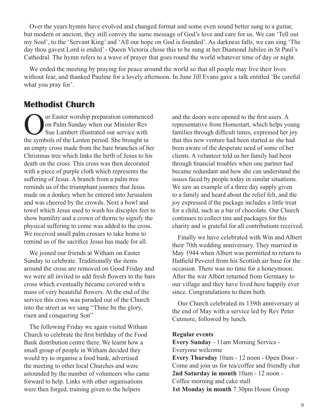Over the years hymns have evolved and changed format and some even sound better sung to a guitar, but modern or ancient, they still convey the same message of God's love and care for us. We can 'Tell out my Soul', to the 'Servant King' and 'All our hope on God is founded'. As darkness falls, we can sing 'The day thou gavest Lord is ended' - Queen Victoria chose this to be sung at her Diamond Jubilee in St Paul's Cathedral. The hymn refers to a wave of prayer that goes round the world whatever time of day or night.

We ended the meeting by praying for peace around the world so that all people may live their lives without fear, and thanked Pauline for a lovely afternoon. In June Jill Evans gave a talk entitled 'Be careful what you pray for'.

### **Methodist Church**

Our Easter worship preparation commenced<br>
on Palm Sunday when our Minister Rev<br>
Sue Lambert illustrated our service with<br>
the symbols of the Lenten period. She brought in on Palm Sunday when our Minister Rev Sue Lambert illustrated our service with the symbols of the Lenten period. She brought in an empty cross made from the bare branches of her Christmas tree which links the birth of Jesus to his death on the cross. This cross was then decorated with a piece of purple cloth which represents the suffering of Jesus. A branch from a palm tree reminds us of the triumphant journey that Jesus made on a donkey when he entered into Jerusalem and was cheered by the crowds. Next a bowl and towel which Jesus used to wash his disciples feet to show humility and a crown of thorns to signify the physical suffering to come was added to the cross. We received small palm crosses to take home to remind us of the sacrifice Jesus has made for all.

We joined our friends at Witham on Easter Sunday to celebrate. Traditionally the items around the cross are removed on Good Friday and we were all invited to add fresh flowers to the bare cross which eventually became covered with a mass of very beautiful flowers. At the end of the service this cross was paraded out of the Church into the street as we sang "Thine be the glory, risen and conquering Son"

The following Friday we again visited Witham Church to celebrate the first birthday of the Food Bank distribution centre there. We learnt how a small group of people in Witham decided they would try to organise a food bank, advertised the meeting to other local Churches and were astounded by the number of volunteers who came forward to help. Links with other organisations were then forged, training given to the helpers

and the doors were opened to the first users. A representative from Homestart, which helps young families through difficult times, expressed her joy that this new venture had been started as she had been aware of the desperate need of some of her clients. A volunteer told us her family had been through financial troubles when one partner had became redundant and how she can understand the issues faced by people today in similar situations. We saw an example of a three day supply given to a family and heard about the relief felt, and the joy expressed if the package includes a little treat for a child, such as a bar of chocolate. Our Church continues to collect tins and packages for this charity and is grateful for all contributions received.

Finally we have celebrated with Win and Albert their 70th wedding anniversary. They married in May 1944 when Albert was permitted to return to Hatfield Peverel from his Scottish air base for the occasion. There was no time for a honeymoon. After the war Albert returned from Germany to our village and they have lived here happily ever since. Congratulations to them both.

Our Church celebrated its 139th anniversary at the end of May with a service led by Rev Peter Cutmore, followed by lunch.

#### **Regular events**

**Every Sunday** - 11am Morning Service - Everyone welcome **Every Thursday** 10am - 12 noon - Open Door - Come and join us for tea/coffee and friendly chat **2nd Saturday in month** 10am - 12 noon - Coffee morning and cake stall **1st Monday in month** 7.30pm House Group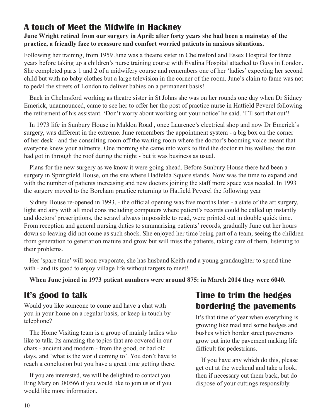### **A touch of Meet the Midwife in Hackney**

#### **June Wright retired from our surgery in April: after forty years she had been a mainstay of the practice, a friendly face to reassure and comfort worried patients in anxious situations.**

Following her training, from 1959 June was a theatre sister in Chelmsford and Essex Hospital for three years before taking up a children's nurse training course with Evalina Hospital attached to Guys in London. She completed parts 1 and 2 of a midwifery course and remembers one of her 'ladies' expecting her second child but with no baby clothes but a large television in the corner of the room. June's claim to fame was not to pedal the streets of London to deliver babies on a permanent basis!

Back in Chelmsford working as theatre sister in St Johns she was on her rounds one day when Dr Sidney Emerick, unannounced, came to see her to offer her the post of practice nurse in Hatfield Peverel following the retirement of his assistant. 'Don't worry about working out your notice' he said. 'I'll sort that out'!

In 1973 life in Sunbury House in Maldon Road , once Laurence's electrical shop and now Dr Emerick's surgery, was different in the extreme. June remembers the appointment system - a big box on the corner of her desk - and the consulting room off the waiting room where the doctor's booming voice meant that everyone knew your ailments. One morning she came into work to find the doctor in his wellies: the rain had got in through the roof during the night - but it was business as usual.

Plans for the new surgery as we know it were going ahead. Before Sunbury House there had been a surgery in Springfield House, on the site where Hadfelda Square stands. Now was the time to expand and with the number of patients increasing and new doctors joining the staff more space was needed. In 1993 the surgery moved to the Boreham practice returning to Hatfield Peverel the following year

Sidney House re-opened in 1993, - the official opening was five months later - a state of the art surgery, light and airy with all mod cons including computers where patient's records could be called up instantly and doctors' prescriptions, the scrawl always impossible to read, were printed out in double quick time. From reception and general nursing duties to summarising patients' records, gradually June cut her hours down so leaving did not come as such shock. She enjoyed her time being part of a team, seeing the children from generation to generation mature and grow but will miss the patients, taking care of them, listening to their problems.

Her 'spare time' will soon evaporate, she has husband Keith and a young grandaughter to spend time with - and its good to enjoy village life without targets to meet!

**When June joined in 1973 patient numbers were around 875: in March 2014 they were 6040.**

### **It's good to talk**

Would you like someone to come and have a chat with you in your home on a regular basis, or keep in touch by telephone?

The Home Visiting team is a group of mainly ladies who like to talk. Its amazing the topics that are covered in our chats - ancient and modern - from the good, or bad old days, and 'what is the world coming to'. You don't have to reach a conclusion but you have a great time getting there.

If you are interested, we will be delighted to contact you. Ring Mary on 380566 if you would like to join us or if you would like more information.

### **Time to trim the hedges bordering the pavements**

It's that time of year when everything is growing like mad and some hedges and bushes which border street pavements grow out into the pavement making life difficult for pedestrians.

If you have any which do this, please get out at the weekend and take a look, then if necessary cut them back, but do dispose of your cuttings responsibly.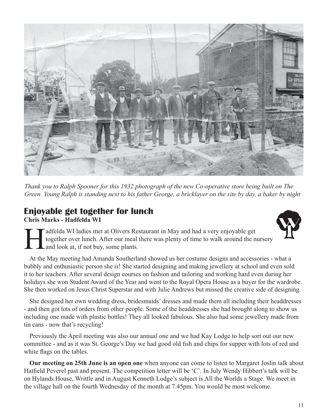

*Thank you to Ralph Spooner for this 1932 photograph of the new Co-operative store being built on The Green. Young Ralph is standing next to his father George, a bricklayer on the site by day, a baker by night*

### **Enjoyable get together for lunch Chris Marks - Hadfelda WI**



adfelda WI ladies met at Olivers Restaurant in May and had a very enjoyable get together over lunch. After our meal there was plenty of time to walk around the nursery and look at, if not buy, some plants.

At the May meeting had Amanda Southerland showed us her costume designs and accessories - what a bubbly and enthusiastic person she is! She started designing and making jewellery at school and even sold it to her teachers. After several design courses on fashion and tailoring and working hard even during her holidays she won Student Award of the Year and went to the Royal Opera House as a buyer for the wardrobe. She then worked on Jesus Christ Superstar and with Julie Andrews but missed the creative side of designing.

She designed her own wedding dress, bridesmaids' dresses and made them all including their headdresses - and then got lots of orders from other people. Some of the headdresses she had brought along to show us including one made with plastic bottles! They all looked fabulous. She also had some jewellery made from tin cans - now that's recycling!

Previously the April meeting was also our annual one and we had Kay Lodge to help sort out our new committee - and as it was St. George's Day we had good old fish and chips for supper with lots of red and white flags on the tables.

**Our meeting on 25th June is an open one** when anyone can come to listen to Margaret Joslin talk about Hatfield Peverel past and present. The competition letter will be 'C'. In July Wendy Hibbert's talk will be on Hylands House, Writtle and in August Kenneth Lodge's subject is All the Worlds a Stage. We meet in the village hall on the fourth Wednesday of the month at 7.45pm. You would be most welcome.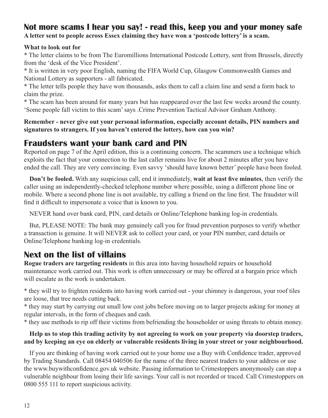### **Not more scams I hear you say! - read this, keep you and your money safe**

**A letter sent to people across Essex claiming they have won a 'postcode lottery' is a scam.**

#### **What to look out for**

\* The letter claims to be from The Euromillions International Postcode Lottery, sent from Brussels, directly from the 'desk of the Vice President'.

\* It is written in very poor English, naming the FIFA World Cup, Glasgow Commonwealth Games and National Lottery as supporters - all fabricated.

\* The letter tells people they have won thousands, asks them to call a claim line and send a form back to claim the prize.

\* The scam has been around for many years but has reappeared over the last few weeks around the county. 'Some people fall victim to this scam' says .Crime Prevention Tactical Advisor Graham Anthony.

**Remember - never give out your personal information, especially account details, PIN numbers and signatures to strangers. If you haven't entered the lottery, how can you win?**

### **Fraudsters want your bank card and PIN**

Reported on page 7 of the April edition, this is a continuing concern. The scammers use a technique which exploits the fact that your connection to the last caller remains live for about 2 minutes after you have ended the call. They are very convincing. Even savvy 'should have known better' people have been fooled.

**Don't be fooled.** With any suspicious call, end it immediately, **wait at least five minutes**, then verify the caller using an independently-checked telephone number where possible, using a different phone line or mobile. Where a second phone line is not available, try calling a friend on the line first. The fraudster will find it difficult to impersonate a voice that is known to you.

NEVER hand over bank card, PIN, card details or Online/Telephone banking log-in credentials.

But, PLEASE NOTE: The bank may genuinely call you for fraud prevention purposes to verify whether a transaction is genuine. It will NEVER ask to collect your card, or your PIN number, card details or Online/Telephone banking log-in credentials.

### **Next on the list of villains**

**Rogue traders are targeting residents** in this area into having household repairs or household maintenance work carried out. This work is often unnecessary or may be offered at a bargain price which will escalate as the work is undertaken.

\* they will try to frighten residents into having work carried out - your chimney is dangerous, your roof tiles are loose, that tree needs cutting back.

\* they may start by carrying out small low cost jobs before moving on to larger projects asking for money at regular intervals, in the form of cheques and cash.

\* they use methods to rip off their victims from befriending the householder or using threats to obtain money.

#### **Help us to stop this trading activity by not agreeing to work on your property via doorstep traders, and by keeping an eye on elderly or vulnerable residents living in your street or your neighbourhood.**

If you are thinking of having work carried out to your home use a Buy with Confidence trader, approved by Trading Standards. Call 08454 040506 for the name of the three nearest traders to your address or use the www.buywithconfidence.gov.uk website. Passing information to Crimestoppers anonymously can stop a vulnerable neighbour from losing their life savings. Your call is not recorded or traced. Call Crimestoppers on 0800 555 111 to report suspicious activity.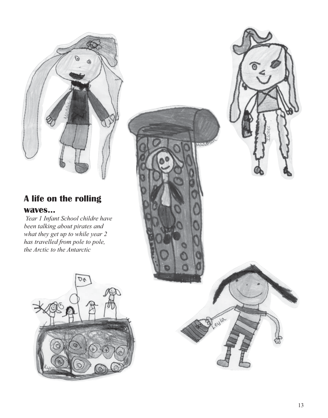

# **A life on the rolling**

### **waves...**

 *Year 1 Infant School childre have been talking about pirates and what they get up to while year 2 has travelled from pole to pole, the Arctic to the Antarctic*





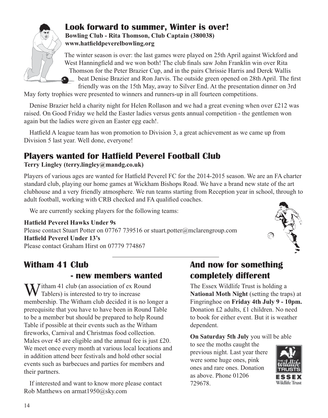

#### **Look forward to summer, Winter is over! Bowling Club - Rita Thomson, Club Captain (380038) www.hatfieldpeverelbowling.org**

The winter season is over: the last games were played on 25th April against Wickford and West Hanningfield and we won both! The club finals saw John Franklin win over Rita Thomson for the Peter Brazier Cup, and in the pairs Chrissie Harris and Derek Wallis beat Denise Brazier and Ron Jarvis. The outside green opened on 28th April. The first friendly was on the 15th May, away to Silver End. At the presentation dinner on 3rd

May forty trophies were presented to winners and runners-up in all fourteen competitions.

Denise Brazier held a charity night for Helen Rollason and we had a great evening when over £212 was raised. On Good Friday we held the Easter ladies versus gents annual competition - the gentlemen won again but the ladies were given an Easter egg each!.

Hatfield A league team has won promotion to Division 3, a great achievement as we came up from Division 5 last year. Well done, everyone!

### **Players wanted for Hatfield Peverel Football Club**

### **Terry Lingley (terry.lingley@mandg.co.uk)**

Players of various ages are wanted for Hatfield Peverel FC for the 2014-2015 season. We are an FA charter standard club, playing our home games at Wickham Bishops Road. We have a brand new state of the art clubhouse and a very friendly atmosphere. We run teams starting from Reception year in school, through to adult football, working with CRB checked and FA qualified coaches.

We are currently seeking players for the following teams:

**Hatfield Peverel Hawks Under 9s** Please contact Stuart Potter on 07767 739516 or stuart.potter@mclarengroup.com **Hatfield Peverel Under 13's** Please contact Graham Hirst on 07779 774867

### **Witham 41 Club**

### **- new members wanted**

 $\sum$  *T*itham 41 club (an association of ex Round Tablers) is interested to try to increase membership. The Witham club decided it is no longer a prerequisite that you have to have been in Round Table to be a member but should be prepared to help Round Table if possible at their events such as the Witham fireworks, Carnival and Christmas food collection. Males over 45 are eligible and the annual fee is just £20. We meet once every month at various local locations and in addition attend beer festivals and hold other social events such as barbecues and parties for members and their partners.

If interested and want to know more please contact Rob Matthews on armat1950@sky.com

### **And now for something completely different**

The Essex Wildlife Trust is holding a **National Moth Night** (setting the traps) at Fingringhoe on **Friday 4th July 9 - 10pm.** Donation £2 adults, £1 children. No need to book for either event. But it is weather dependent.

**On Saturday 5th July** you will be able

to see the moths caught the previous night. Last year there were some huge ones, pink ones and rare ones. Donation as above. Phone 01206 729678.

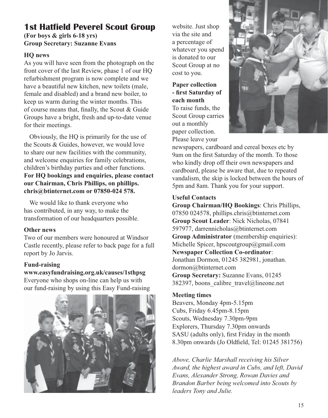### **1st Hatfield Peverel Scout Group (For boys & girls 6-18 yrs)**

### **Group Secretary: Suzanne Evans**

### **HQ news**

As you will have seen from the photograph on the front cover of the last Review, phase 1 of our HQ refurbishment program is now complete and we have a beautiful new kitchen, new toilets (male, female and disabled) and a brand new boiler, to keep us warm during the winter months. This of course means that, finally, the Scout & Guide Groups have a bright, fresh and up-to-date venue for their meetings.

Obviously, the HQ is primarily for the use of the Scouts & Guides, however, we would love to share our new facilities with the community, and welcome enquiries for family celebrations, children's birthday parties and other functions. **For HQ bookings and enquiries, please contact our Chairman, Chris Phillips, on phillips. chris@btinternet.com or 07850-024 578.**

We would like to thank everyone who has contributed, in any way, to make the transformation of our headquarters possible.

#### **Other news**

Two of our members were honoured at Windsor Castle recently, please refer to back page for a full report by Jo Jarvis.

### **Fund-raising**

### **www.easyfundraising.org.uk/causes/1sthpsg**

Everyone who shops on-line can help us with our fund-raising by using this Easy Fund-raising



website. Just shop via the site and a percentage of whatever you spend is donated to our Scout Group at no cost to you.

#### **Paper collection - first Saturday of each month** To raise funds, the

Scout Group carries out a monthly paper collection. Please leave your



newspapers, cardboard and cereal boxes etc by 9am on the first Saturday of the month. To those who kindly drop off their own newspapers and cardboard, please be aware that, due to repeated vandalism, the skip is locked between the hours of 5pm and 8am. Thank you for your support.

### **Useful Contacts**

**Group Chairman/HQ Bookings**: Chris Phillips, 07850 024578, phillips.chris@btinternet.com **Group Scout Leader**: Nick Nicholas, 07841 597977, darrennicholas@btinternet.com **Group Administrator** (membership enquiries): Michelle Spicer, hpscoutgroup@gmail.com **Newspaper Collection Co-ordinator**: Jonathan Dormon, 01245 382981, jonathan. dormon@btinternet.com **Group Secretary:** Suzanne Evans, 01245

382397, boons\_calibre\_travel@lineone.net

### **Meeting times**

Beavers, Monday 4pm-5.15pm Cubs, Friday 6.45pm-8.15pm Scouts, Wednesday 7.30pm-9pm Explorers, Thursday 7.30pm onwards SASU (adults only), first Friday in the month 8.30pm onwards (Jo Oldfield, Tel: 01245 381756)

*Above, Charlie Marshall receiving his Silver Award, the highest award in Cubs, and left, David Evans, Alexander Strong, Rowan Davies and Brandon Barber being welcomed into Scouts by leaders Tony and Julie.*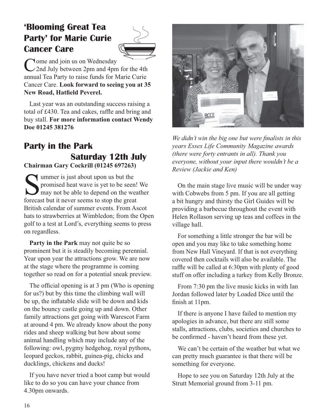### **'Blooming Great Tea Party' for Marie Curie Cancer Care**



Come and join us on Wednesday<br>
2nd July between 2pm and 4pm for the 4th annual Tea Party to raise funds for Marie Curie Cancer Care. **Look forward to seeing you at 35 New Road, Hatfield Peverel.**

Last year was an outstanding success raising a total of £430. Tea and cakes, raffle and bring and buy stall. **For more information contact Wendy Doe 01245 381276**

### **Party in the Park Saturday 12th July Chairman Gary Cockrill (01245 697263)**

Summer is just about upon us but the<br>promised heat wave is yet to be seen<br>may not be able to depend on the we<br>forecast but it never seems to stop the grea promised heat wave is yet to be seen! We may not be able to depend on the weather forecast but it never seems to stop the great British calendar of summer events. From Ascot hats to strawberries at Wimbledon; from the Open golf to a test at Lord's, everything seems to press on regardless.

**Party in the Park** may not quite be so prominent but it is steadily becoming perennial. Year upon year the attractions grow. We are now at the stage where the programme is coming together so read on for a potential sneak preview.

The official opening is at 3 pm (Who is opening for us?) but by this time the climbing wall will be up, the inflatable slide will be down and kids on the bouncy castle going up and down. Other family attractions get going with Warescot Farm at around 4 pm. We already know about the pony rides and sheep walking but how about some animal handling which may include any of the following: owl, pygmy hedgehog, royal pythons, leopard geckos, rabbit, guinea-pig, chicks and ducklings, chickens and ducks!

If you have never tried a boot camp but would like to do so you can have your chance from 4.30pm onwards.



*We didn't win the big one but were finalists in this years Essex Life Community Magazine awards (there were forty entrants in all). Thank you everyone, without your input there wouldn't be a Review (Jackie and Ken)*

On the main stage live music will be under way with Cobwebs from 5 pm. If you are all getting a bit hungry and thirsty the Girl Guides will be providing a barbecue throughout the event with Helen Rollason serving up teas and coffees in the village hall.

For something a little stronger the bar will be open and you may like to take something home from New Hall Vineyard. If that is not everything covered then cocktails will also be available. The raffle will be called at 6:30pm with plenty of good stuff on offer including a turkey from Kelly Bronze.

From 7:30 pm the live music kicks in with Ian Jordan followed later by Loaded Dice until the finish at 11pm.

If there is anyone I have failed to mention my apologies in advance, but there are still some stalls, attractions, clubs, societies and churches to be confirmed - haven't heard from these yet.

We can't be certain of the weather but what we can pretty much guarantee is that there will be something for everyone.

Hope to see you on Saturday 12th July at the Strutt Memorial ground from 3-11 pm.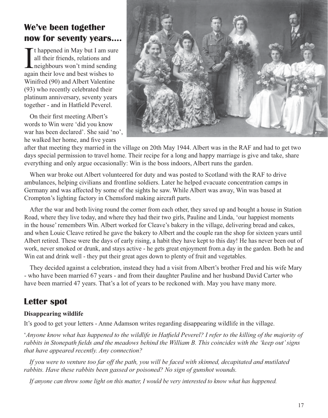### **We've been together now for seventy years....**

I thappened in May but I am surall their friends, relations and<br>neighbours won't mind sending<br>again their love and best wishes to t happened in May but I am sure all their friends, relations and neighbours won't mind sending Winifred (90) and Albert Valentine (93) who recently celebrated their platinum anniversary, seventy years together - and in Hatfield Peverel.

On their first meeting Albert's words to Win were 'did you know war has been declared'. She said 'no', he walked her home, and five years



after that meeting they married in the village on 20th May 1944. Albert was in the RAF and had to get two days special permission to travel home. Their recipe for a long and happy marriage is give and take, share everything and only argue occasionally: Win is the boss indoors, Albert runs the garden.

When war broke out Albert volunteered for duty and was posted to Scotland with the RAF to drive ambulances, helping civilians and frontline soldiers. Later he helped evacuate concentration camps in Germany and was affected by some of the sights he saw. While Albert was away, Win was based at Crompton's lighting factory in Chemsford making aircraft parts.

After the war and both living round the corner from each other, they saved up and bought a house in Station Road, where they live today, and where they had their two girls, Pauline and Linda, 'our happiest moments in the house' remembers Win. Albert worked for Cleave's bakery in the village, delivering bread and cakes, and when Louie Cleave retired he gave the bakery to Albert and the couple ran the shop for sixteen years until Albert retired. These were the days of early rising, a habit they have kept to this day! He has never been out of work, never smoked or drunk, and stays active - he gets great enjoyment from.a day in the garden. Both he and Win eat and drink well - they put their great ages down to plenty of fruit and vegetables.

They decided against a celebration, instead they had a visit from Albert's brother Fred and his wife Mary - who have been married 67 years - and from their daughter Pauline and her husband David Carter who have been married 47 years. That's a lot of years to be reckoned with. May you have many more.

### **Letter spot**

#### **Disappearing wildlife**

It's good to get your letters - Anne Adamson writes regarding disappearing wildlife in the village.

'*Anyone know what has happened to the wildlife in Hatfield Peverel? I refer to the killing of the majority of rabbits in Stonepath fields and the meadows behind the William B. This coincides with the 'keep out' signs that have appeared recently. Any connection?*

If you were to venture too far off the path, you will be faced with skinned, decapitated and mutilated *rabbits. Have these rabbits been gassed or poisoned? No sign of gunshot wounds.*

*If anyone can throw some light on this matter, I would be very interested to know what has happened.*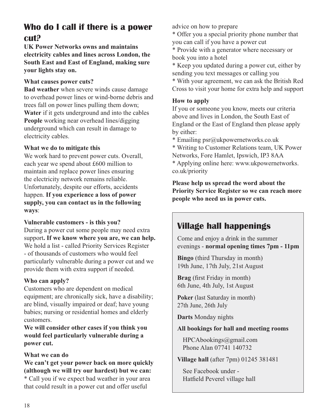### **Who do I call if there is a power cut?**

**UK Power Networks owns and maintains electricity cables and lines across London, the South East and East of England, making sure your lights stay on.**

#### **What causes power cuts?**

**Bad weather** when severe winds cause damage to overhead power lines or wind-borne debris and trees fall on power lines pulling them down; **Water** if it gets underground and into the cables **People** working near overhead lines/digging underground which can result in damage to electricity cables.

#### **What we do to mitigate this**

We work hard to prevent power cuts. Overall, each year we spend about £600 million to maintain and replace power lines ensuring the electricity network remains reliable. Unfortunately, despite our efforts, accidents happen. **If you experience a loss of power supply, you can contact us in the following ways**:

#### **Vulnerable customers - is this you?**

During a power cut some people may need extra support**. If we know where you are, we can help.** We hold a list - called Priority Services Register - of thousands of customers who would feel particularly vulnerable during a power cut and we provide them with extra support if needed.

#### **Who can apply?**

Customers who are dependent on medical equipment; are chronically sick, have a disability; are blind, visually impaired or deaf; have young babies; nursing or residential homes and elderly customers.

**We will consider other cases if you think you would feel particularly vulnerable during a power cut.**

#### **What we can do**

**We can't get your power back on more quickly (although we will try our hardest) but we can:** \* Call you if we expect bad weather in your area that could result in a power cut and offer useful

advice on how to prepare

\* Offer you a special priority phone number that you can call if you have a power cut

\* Provide with a generator where necessary or book you into a hotel

\* Keep you updated during a power cut, either by sending you text messages or calling you

\* With your agreement, we can ask the British Red Cross to visit your home for extra help and support

#### **How to apply**

If you or someone you know, meets our criteria above and lives in London, the South East of England or the East of England then please apply by either:

\* Emailing psr@ukpowernetworks.co.uk

\* Writing to Customer Relations team, UK Power Networks, Fore Hamlet, Ipswich, IP3 8AA

\* Applying online here: www.ukpowernetworks. co.uk/priority

**Please help us spread the word about the Priority Service Register so we can reach more people who need us in power cuts.**

### **Village hall happenings**

Come and enjoy a drink in the summer evenings - **normal opening times 7pm - 11pm**

**Bingo** (third Thursday in month) 19th June, 17th July, 21st August

**Brag** (first Friday in month) 6th June, 4th July, 1st August

**Poker** (last Saturday in month) 27th June, 26th July

**Darts** Monday nights

#### **All bookings for hall and meeting rooms**

 HPCAbookings@gmail.com Phone Alan 07741 140732

**Village hall** (after 7pm) 01245 381481

 See Facebook under - Hatfield Peverel village hall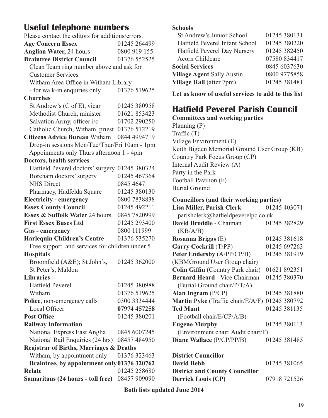### **Useful telephone numbers**

| Please contact the editors for additions/errors.   |              |  |  |  |
|----------------------------------------------------|--------------|--|--|--|
| <b>Age Concern Essex</b>                           | 01245 264499 |  |  |  |
| <b>Anglian Water, 24 hours</b>                     | 0800 919 155 |  |  |  |
| <b>Braintree District Council</b>                  | 01376 552525 |  |  |  |
| Clean Team ring number above and ask for           |              |  |  |  |
| <b>Customer Services</b>                           |              |  |  |  |
| Witham Area Office in Witham Library               |              |  |  |  |
| - for walk-in enquiries only                       | 01376 519625 |  |  |  |
| <b>Churches</b>                                    |              |  |  |  |
| St Andrew's (C of E), vicar                        | 01245 380958 |  |  |  |
| Methodist Church, minister                         | 01621 853423 |  |  |  |
| Salvation Army, officer i/c                        | 01702 290250 |  |  |  |
| Catholic Church, Witham, priest 01376 512219       |              |  |  |  |
| <b>Citizens Advice Bureau Witham</b>               | 0844 4994719 |  |  |  |
| Drop-in sessions Mon/Tue/Thur/Fri 10am - 1pm       |              |  |  |  |
| Appoinments only Thurs afternoon 1 - 4pm           |              |  |  |  |
| Doctors, health services                           |              |  |  |  |
| Hatfield Peverel doctors' surgery 01245 380324     |              |  |  |  |
| Boreham doctors' surgery                           | 01245 467364 |  |  |  |
| <b>NHS</b> Direct                                  | 0845 4647    |  |  |  |
| Pharmacy, Hadfelda Square                          | 01245 380130 |  |  |  |
| <b>Electricity - emergency</b>                     | 0800 7838838 |  |  |  |
| <b>Essex County Council</b>                        | 01245 492211 |  |  |  |
| Essex & Suffolk Water 24 hours                     | 0845 7820999 |  |  |  |
| <b>First Essex Buses Ltd</b>                       | 01245 293400 |  |  |  |
| Gas - emergency                                    | 0800 111999  |  |  |  |
| <b>Harlequin Children's Centre</b>                 | 01376 535270 |  |  |  |
| Free support and services for children under 5     |              |  |  |  |
| <b>Hospitals</b>                                   |              |  |  |  |
| Broomfield (A&E); St John's,                       | 01245 362000 |  |  |  |
| St Peter's, Maldon                                 |              |  |  |  |
| <b>Libraries</b>                                   |              |  |  |  |
| Hatfield Peverel                                   | 01245 380988 |  |  |  |
| Witham                                             | 01376 519625 |  |  |  |
| Police, non-emergency calls                        | 0300 3334444 |  |  |  |
| Local Officer                                      | 07974 457258 |  |  |  |
| <b>Post Office</b>                                 | 01245 380201 |  |  |  |
| <b>Railway Information</b>                         |              |  |  |  |
| National Express East Anglia                       | 0845 6007245 |  |  |  |
| National Rail Enquiries (24 hrs)                   | 08457 484950 |  |  |  |
| <b>Registrar of Births, Marriages &amp; Deaths</b> |              |  |  |  |
| Witham, by appointment only                        | 01376 323463 |  |  |  |
| Braintree, by appointment only 01376 320762        |              |  |  |  |
| <b>Relate</b>                                      | 01245 258680 |  |  |  |
| Samaritans (24 hours - toll free)                  | 08457 909090 |  |  |  |

#### **Schools**

| St Andrew's Junior School         | 01245 380131 |
|-----------------------------------|--------------|
| Hatfield Peverel Infant School    | 01245 380220 |
| Hatfield Peverel Day Nursery      | 01245 382450 |
| Acorn Childcare                   | 07580 834417 |
| <b>Social Services</b>            | 0845 6037630 |
| <b>Village Agent Sally Austin</b> | 0800 9775858 |
| Village Hall (after 7pm)          | 01245 381481 |
|                                   |              |

**Let us know of useful services to add to this list**

### **Hatfield Peverel Parish Council**

**Committees and working parties** Planning (P) Traffic (T) Village Environment (E) Keith Bigden Memorial Ground User Group (KB) Country Park Focus Group (CP) Internal Audit Review (A) Party in the Park Football Pavilion (F) Burial Ground

| Councillors (and their working parties)                |              |  |  |  |
|--------------------------------------------------------|--------------|--|--|--|
| Lisa Miller, Parish Clerk                              | 01245 403071 |  |  |  |
| parishclerk@hatfieldpeverelpc.co.uk                    |              |  |  |  |
| David Broddle - Chaiman                                | 01245 382829 |  |  |  |
| (KB/A/B)                                               |              |  |  |  |
| Rosanna Briggs (E)                                     | 01245 381618 |  |  |  |
| <b>Garry Cockrill (T/PP)</b>                           | 01245 697263 |  |  |  |
| Peter Endersby (A/PP/CP/B)                             | 01245 381919 |  |  |  |
| (KBMGround User Group chair)                           |              |  |  |  |
| <b>Colin Giffin</b> (Country Park chair)               | 01621 892351 |  |  |  |
| <b>Bernard Heard - Vice Chairman</b>                   | 01245 380370 |  |  |  |
| (Burial Ground chair/P/T/A)                            |              |  |  |  |
| Alan Ingram $(P/CP)$                                   | 01245 381880 |  |  |  |
| <b>Martin Pyke</b> (Traffic chair/E/A/F)               | 01245 380792 |  |  |  |
| <b>Ted Munt</b>                                        | 01245 381135 |  |  |  |
| (Football chair/E/CP/A/B)                              |              |  |  |  |
| <b>Eugene Murphy</b>                                   | 01245 380113 |  |  |  |
| (Environment chair, Audit chair/F)                     |              |  |  |  |
| Diane Wallace (P/CP/PP/B)                              | 01245 381485 |  |  |  |
|                                                        |              |  |  |  |
| $\mathbf{D}$ and $\mathbf{A}$ $\mathbf{C}$ and all and |              |  |  |  |

**District Councillor David Bebb** 01245 381065 **District and County Councillor Derrick Louis (CP)** 07918 721526

**Both lists updated June 2014**